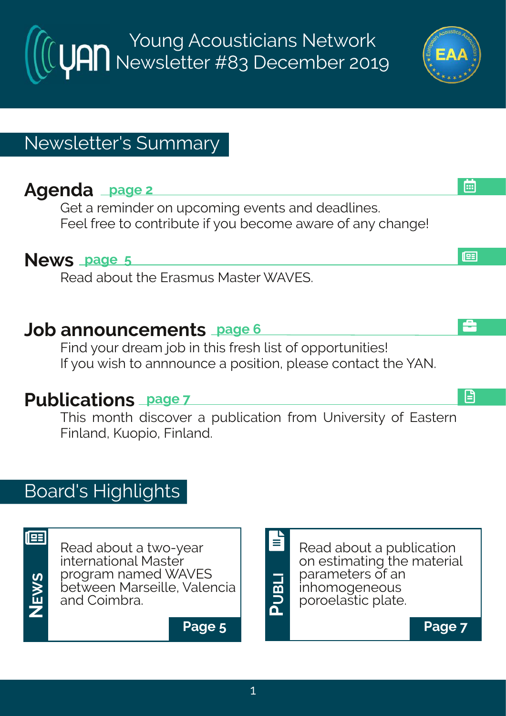Young Acousticians Network Newsletter #83 December 2019

### Newsletter's Summary

### **Agenda page 2**

Get a reminder on upcoming events and deadlines. Feel free to contribute if you become aware of any change!

#### **News page 5**

Read about the Erasmus Master WAVES.

### **Job announcements page 6**

Find your dream job in this fresh list of opportunities! If you wish to annnounce a position, please contact the YAN.

# **Publications page 7**

This month discover a publication from University of Eastern Finland, Kuopio, Finland.

### Board's Highlights

| Ę<br>دا  |  |
|----------|--|
|          |  |
|          |  |
| <u>ທ</u> |  |
|          |  |

**NE** Read about a two-year international Master program named WAVES between Marseille, Valencia and Coimbra.



#### **Page 5 Page 7**



l⊞

画

å

日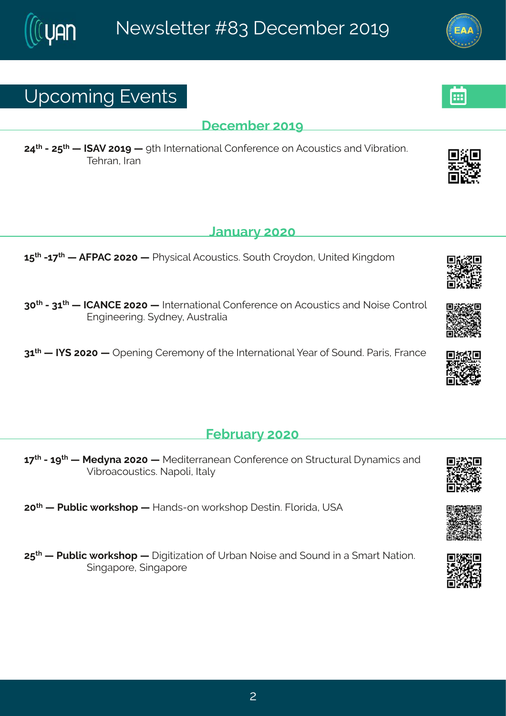### Yt gsq mk#Jzi r xw

#### ligig fiv#56>

79<sup>x</sup> #247: \* #: #NFZ#756>#: #> x| #Nxivrexmsrep#Hsrjivirgi#sr#Fgsywxngw#erh#Zmfvexmsr3# Xi I ver #Ner

#### **Cervey #575**

6:  $\frac{1}{2}$  #26 <  $\frac{1}{4}$  #FKUFH#7575# #UI} wrgep #Fgsywngw \${ syx #Hvs} hsr 1#Yrma h#Pmnkhsq

85<sup>xl</sup> #2486<sup>xl</sup> # #NHFSHJ#7575# #Ntxi vrexmsrep#Hsrjivirgi#sr#Fgsywxngnw#erh#Ssmwi#Hsrxvsp# Jrkmiiwnk3#}hri}#Fyww.epme

86 # #NN (#7575# #Ttirmn k #Hiviq sr}#sj#vli#Ntxivrexmsrep#liev#sj#(syrh 3# Jevnn of#Kvergi

#### Ki f wev} #575

6 << # #246 > x # #Rih}re#7575 # #Rihmaiwerier#Hsrjivirgi#sr#(xvygxyvep#}req mgw#erh# Zm/vsegsyworgw&Setspr#Nep

75<sup>x</sup> # #Uyfprg# svowl st # #Merhw2sr # svowl st # iwwm3Kpswhne1#Y (F

7:  $*$  # #Llyfpront svow st# # mknome and msi #Y vfer #Ssmwi #erh # syrh#m #e# q ev #Sexmsn  $*$ (mnket svi # mnket svi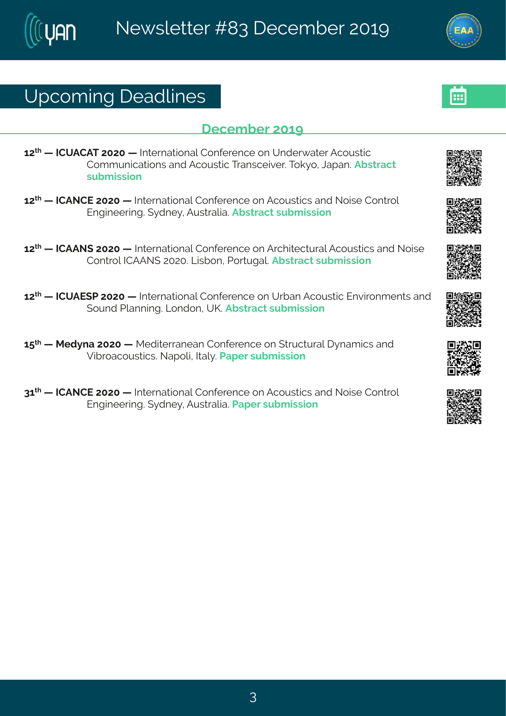# Yt gsq mk# i ehpni w

#### ligig fiv#56>

67<sup>x</sup> # #HHYFHFX#7575# #Ntxivrexmsrep#Hsrjivirgi#sr#Yrhiv{ exiv#Fgsywxng# Hsq q yr moexist wher htt qsywmot pixer wai nai v \$3 x s the ter \$Ff wweax # wyf q mwnar

67<sup>x</sup> # #HHFSHJ#7575# #Nxivrexmsrep#Hsrjivirgi#sr#Fgsywxmgw#erh#Ssmwi#Hsrxvsp# Jrkmiiwnk3#}hri}#Fyw.xepme3Ffww.eqx#wfqmwnsr

 $67^{\text{M}}$  # #HHFFS (#7575# #Noxi vrexmsrep#Hsrjivirgi#sr#FvgImxigxyvep#Fgsywxnogw#erh#Ssmwi# Hsr xvsp#HHFFS (#75753 EQ mof sr 1#Jsvxy kep 3Ff www.eqx#wyfq mww.nsr

67<sup>x</sup> # #HHYFJ(U#7575# #Nxivrexmsrep#Hsrjivirgi#sr#Yvfer#Fgsywxmog#Jrznwsrg irxw#erh# (syrh#Uperrmk3#Csrhsr1#YP3Ffwwegx#wyfgmwnsr#

6:  $\frac{d}{dx}$  #Rih}re#7575# #Rihmoiwerier#Hsrjivirgi#sr#(xvygxyvep#}req mgw#erh# Zmín/segsywordw3Set spr#Nep} 3LJet i v#w f q mwnsr

86<sup>x</sup> # #HHFSHJ#7575# #Ntxivrexmsrep#Hsrjivirgi#sr#Fgsywxmgw#erh#Ssmwi#Hsrxvsp# Jrkmii vmk $\mathcal{H}$  hri } #Fyww.epreostlet i wtw. f q mwnsing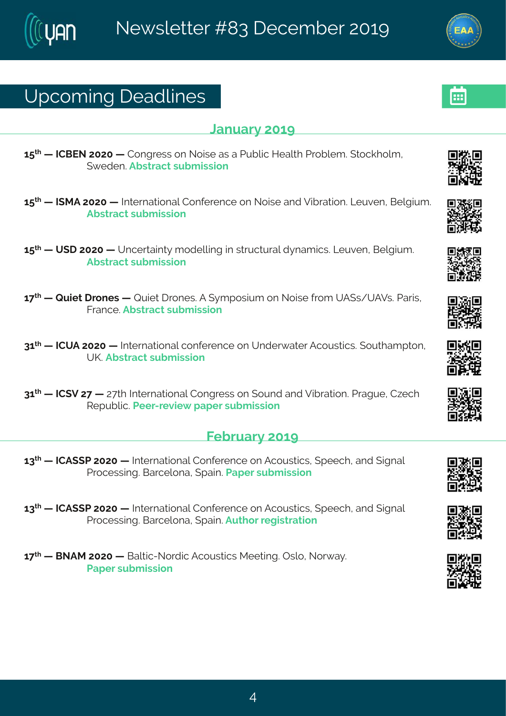# Yt gsq mk# i ehpni w

#### Cervey  $#56$

6: \* # #HHGJS#7575# #Hsrkviww#sr#Ssmwi#ew#e#Llyfpnop#Miepol#Llusfpig 3#xsgolspot# ({i hi r 3Ff wwegx#w f g mwnsn

- 6: <sup>xl</sup> # #NIRF#7575# #Nixi vrexmsrep#Hsrijvi rgi#sr#Ssmwi#erh#Zmívexmsr3#Qivzi r#Ginkmyg 3# Ff wwegx#w f g mwnsr
- 6:  $*$  #  $#$  (1  $#$  575 #  $#$  r given n  $*$  #  $*$  shipon k# n  $#$  w  $\gamma$  ox  $\gamma$  eq now  $*$   $\alpha$   $\gamma$  zir  $*$   $\beta$   $\alpha$   $\gamma$   $\alpha$   $*$ Ff wwegx#w f g mwnsr
- 6 << 4 # 4V y m x # vsriw # #V y m x # vsriw 3F# } q t swnyq #sr#Ssnwi# vsq #YF (w4YFZw 3U evnw # Kver ai 3Ff wweax#wf a mwnsr
- 86<sup>x</sup> # #HHYF#7575# #Ntxivrexmsrep#gsrjivirgi#sr#Yrhiv{exiv#Fgsywwmgw&tsyxleqtxsr# YP3Ff wwegx#wyf q mwnsr
- 86<sup>x</sup> # #HH(Z#7<# #7<x #Ntxivrexmsrep#Hsrkviww#sr#(syrh#erh#Zmfvexmsr3#Uvekyi#H~igl# Wit yf pro StUi i v2vi zm { # et i v#w f q mwns r

#### Ki f wev  $#56$

- 68<sup>x</sup> # #HHF((U#7575# #Nxivrexmsrep#Hsrjivirgi#sr#Fgsywwmgw/#(tiigl1#erh#(nkrep# Uvsgi www.mk3KGevgipsre#ttem3Uetiv#wfgmwnsr
- 68<sup>xl</sup> # #HHF ((U#7575# #holxivrexmsrep#Hsrjivirgi#sr#Fgsywwmonw.#tiigl1#erh#nkrep# Unsqiwwn k3KGevqipsre#(tem 3Fyx) sw#ikmwwexmar
- 6 < <sup>\*</sup> # #GSFR#7575# #Gepxmg2Ssvhmg#Fgsyww.ngw#Riixnnk.34Twps1#Ssv{e}3# Uet i v#w f q mwnsr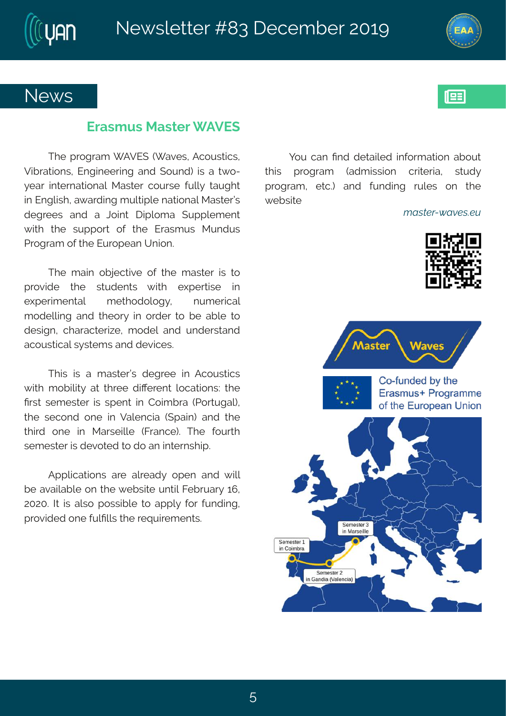### Si { w

#### J vewq y w#R ewi v# FZJ(

XI i # vsk veq # FZJ (# [ ezi w#Fgsy wxngw# Zmívexmsrw#Urkmiiwnk#erh#(syrh.#mw#e#x{s2 } i ev#mxi vrexmsrep#Rewxi v#gsywi #jypo}#xeyklx# m#Jrkpwl #e{evhmk#q ypxtnpi#exnsrep#Rewaivo\*# hik viiw#erh#e#Osmn x#lmhpsqe# (yttpiqirx# { mol#xli# wytts w#sj#xli# J vewq y w# R yrhy w# Unskveq #sj#li#Jyvstier#Yrmsr3

XI i #q em#sf ni gxoni #sj#xl i #q ew i v#mw#xs# tvszmhi#xli#wxyhirxw#{mxl#i|tivxmwi#mn# i|tiwmo:irxep#qixlshspsk}1# rygiwngep# q shippink#erh#xlisv}#nn#svhiv#xs#fi#efpi#xs# hi what "#glevegxi wai "#g shi p#erh#yrhi wwerh# egsywnogepthy wig wher hthi zmoi w3

XI mor#mor#e#q ew i voot#hik vi i #mn#Fgsywangw# { molt+tq sf monot+text+xl vii#hmOivirx#psgexmsrw?#xli# Pww.#wiqiwiwiwtwtirx#m#Hsmotwe#-Uswykep1# xli#wigsrh#sri#mm#Zepirgme#-(temn.#erh#xli# xlm/h#sri#mn#Rewwimpoi#-Kvergi.3#Xli#jsyvxl# wiqiwai w*i*thow<sup>th</sup>izs xih#s#hs#er#nn xiwinh3

Ft t projex for whe vi #epi eh}#st i r #er h#{ mp# fi#ezemoefpi#sr#xli#fifwm.i#yrxmo#Kifwey}#6;1# 75753 Mathorite pows #1 sww.fnpi# steet tp) #1 sv#jyrhmk #1 tvszmhih#sri#¦ypPppw#vli#wiuymwiqirxw3#

sy#ger#Prh#hixempih#misvqexmsr#efsyx# xlmw# tvskveq# -ehqmwwnsr#gwnaivme1#wwyh}# tvskveq #lixg3#erh#jyrhmnk#wpiw#sr#xli#  $\{$  if won  $#$ 

t Đ B<sub>3</sub><sup>2</sup>Zó Đò\$ & Ù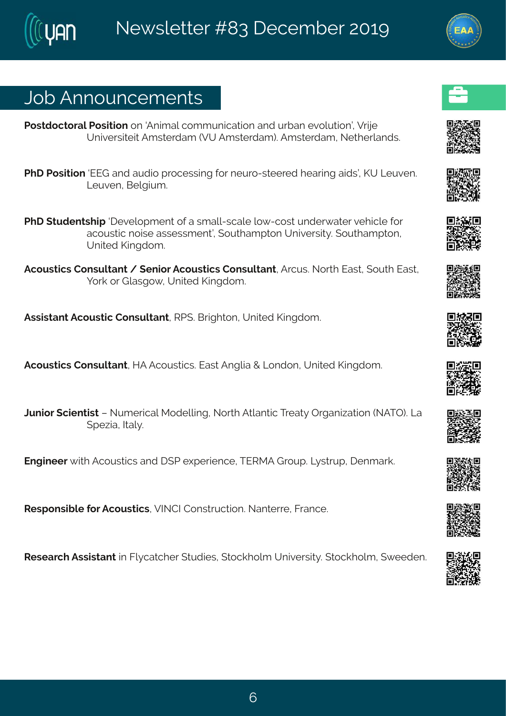### Osf#Frrsyrgiqirxw

Us whas gosvept Us woman ts r#Frmg epilgs g g yr mgexms r#erh tly vfer#zspyxms rð tlZvmi# Yr nzi wyni n stF q w i yheq #ZY#F q w i yheq . StF q w i yheq 14S i xl i yoer hw 8

- UII#Uswmansr#UJL#erh#eyhms#tvsgiwwnnk#sw#iyvs2waiivih#iewnnk#enhwo#PY#Qjyzir3# Q yzi r #Gi pkmyq 3
- UII# xyhir xwl mt#lizipstq ir x#sj#e#xq epp2wgepi#ps{ 2gsw=#yrhiv{ exiv#zilmopi#sv# egsywwng#smwi#ewwiwwgirxð#syxlegtxsr#Yrmziwnx}3#syxlegtxsr# Yrmih#Pmkhsq 3
- Fgsyworgw#Hsrwypxerx#1#tirmsv#Fgsyworgw#Hsrwypxerx1#Fvgyw38Sswl#Jewx1#syxl#Jewx1# Is vo#s w# pewks { # AY r min h# Pm k h sq 3

Fww.mw.erx#Fqsyw.xmg#Hsrwypxerx1#WU(3#Gw.holxsr1#Yrmaih.#Pmnkhsq3

Fgsyworgw#Hsrwypxerx14MF#Fgsyworgw3#Jew=#Frkpre#+#Qsrhsr1#Yrmaih#Pmnkhsq3

Ovrnav#gmirxnws##Sygivngep#Rshippnk1#Sswl#Fxperxng#Xviex}#Twkermexnsr#SFXT.3#Qe#  $(t i - \text{real} + \text{length})$ 

Jrkm iiv#mol#Fgsywnogw#erh# (U#|tiwmirgi#KJWRF#Lvsyt3#Qww.yt#tirqevo3

W wtsrwnfpi#sv#Fqsywxngw1#ZNSHN#Hsrwxwygxnsr3#Serxiwi1#Kvergi3

Wiwievgl#Fww.mw.erx#m#Kp}gexgliv#xyhmiw#xsgolspg#Yrmziwwn $\frac{1}{3}$  xsgolspg #{{iihir3